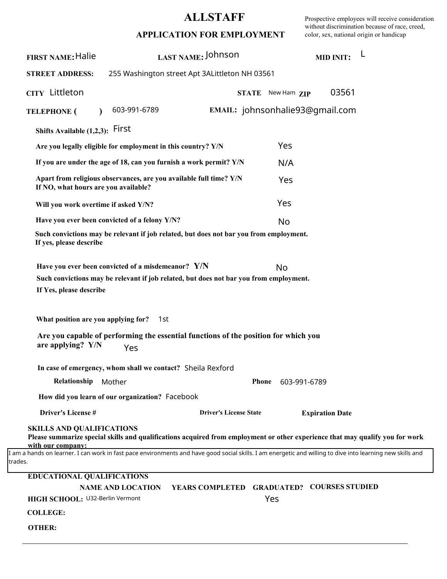## **ALLSTAFF**

Prospective employees will receive consideration without discrimination because of race, creed, color, sex, national origin or handicap

| <b>FIRST NAME: Halie</b>                                                                                                                                              | LAST NAME: Johnson                                                                                                                                                                                                                                |                                            |                   | <b>MID INIT:</b>       | L |  |  |
|-----------------------------------------------------------------------------------------------------------------------------------------------------------------------|---------------------------------------------------------------------------------------------------------------------------------------------------------------------------------------------------------------------------------------------------|--------------------------------------------|-------------------|------------------------|---|--|--|
| <b>STREET ADDRESS:</b>                                                                                                                                                | 255 Washington street Apt 3ALittleton NH 03561                                                                                                                                                                                                    |                                            |                   |                        |   |  |  |
| CITY Littleton                                                                                                                                                        |                                                                                                                                                                                                                                                   |                                            | STATE New Ham ZIP | 03561                  |   |  |  |
| <b>TELEPHONE</b> (<br>$\lambda$                                                                                                                                       | 603-991-6789                                                                                                                                                                                                                                      | EMAIL: johnsonhalie93@qmail.com            |                   |                        |   |  |  |
| Shifts Available $(1,2,3)$ : First                                                                                                                                    |                                                                                                                                                                                                                                                   |                                            |                   |                        |   |  |  |
|                                                                                                                                                                       | Are you legally eligible for employment in this country? Y/N                                                                                                                                                                                      |                                            | Yes               |                        |   |  |  |
|                                                                                                                                                                       | If you are under the age of 18, can you furnish a work permit? $Y/N$                                                                                                                                                                              |                                            | N/A               |                        |   |  |  |
| If NO, what hours are you available?                                                                                                                                  | Apart from religious observances, are you available full time? Y/N                                                                                                                                                                                |                                            | Yes               |                        |   |  |  |
| Will you work overtime if asked Y/N?                                                                                                                                  |                                                                                                                                                                                                                                                   |                                            | Yes               |                        |   |  |  |
|                                                                                                                                                                       | Have you ever been convicted of a felony Y/N?                                                                                                                                                                                                     |                                            | No                |                        |   |  |  |
| If yes, please describe                                                                                                                                               | Such convictions may be relevant if job related, but does not bar you from employment.                                                                                                                                                            |                                            |                   |                        |   |  |  |
| If Yes, please describe<br>What position are you applying for?<br>are applying? Y/N                                                                                   | Have you ever been convicted of a misdemeanor? Y/N<br>Such convictions may be relevant if job related, but does not bar you from employment.<br>1st<br>Are you capable of performing the essential functions of the position for which you<br>Yes |                                            | No                |                        |   |  |  |
|                                                                                                                                                                       | In case of emergency, whom shall we contact? Sheila Rexford                                                                                                                                                                                       |                                            |                   |                        |   |  |  |
| Relationship                                                                                                                                                          | Mother                                                                                                                                                                                                                                            | <b>Phone</b>                               | 603-991-6789      |                        |   |  |  |
|                                                                                                                                                                       | How did you learn of our organization? Facebook                                                                                                                                                                                                   |                                            |                   |                        |   |  |  |
| Driver's License #                                                                                                                                                    |                                                                                                                                                                                                                                                   | <b>Driver's License State</b>              |                   | <b>Expiration Date</b> |   |  |  |
| <b>SKILLS AND QUALIFICATIONS</b><br>with our company:                                                                                                                 | Please summarize special skills and qualifications acquired from employment or other experience that may qualify you for work                                                                                                                     |                                            |                   |                        |   |  |  |
| I am a hands on learner. I can work in fast pace environments and have good social skills. I am energetic and willing to dive into learning new skills and<br>trades. |                                                                                                                                                                                                                                                   |                                            |                   |                        |   |  |  |
| <b>EDUCATIONAL QUALIFICATIONS</b>                                                                                                                                     |                                                                                                                                                                                                                                                   |                                            |                   |                        |   |  |  |
|                                                                                                                                                                       | <b>NAME AND LOCATION</b>                                                                                                                                                                                                                          | YEARS COMPLETED GRADUATED? COURSES STUDIED |                   |                        |   |  |  |
| HIGH SCHOOL: U32-Berlin Vermont                                                                                                                                       |                                                                                                                                                                                                                                                   |                                            | Yes               |                        |   |  |  |
| <b>COLLEGE:</b>                                                                                                                                                       |                                                                                                                                                                                                                                                   |                                            |                   |                        |   |  |  |
| <b>OTHER:</b>                                                                                                                                                         |                                                                                                                                                                                                                                                   |                                            |                   |                        |   |  |  |